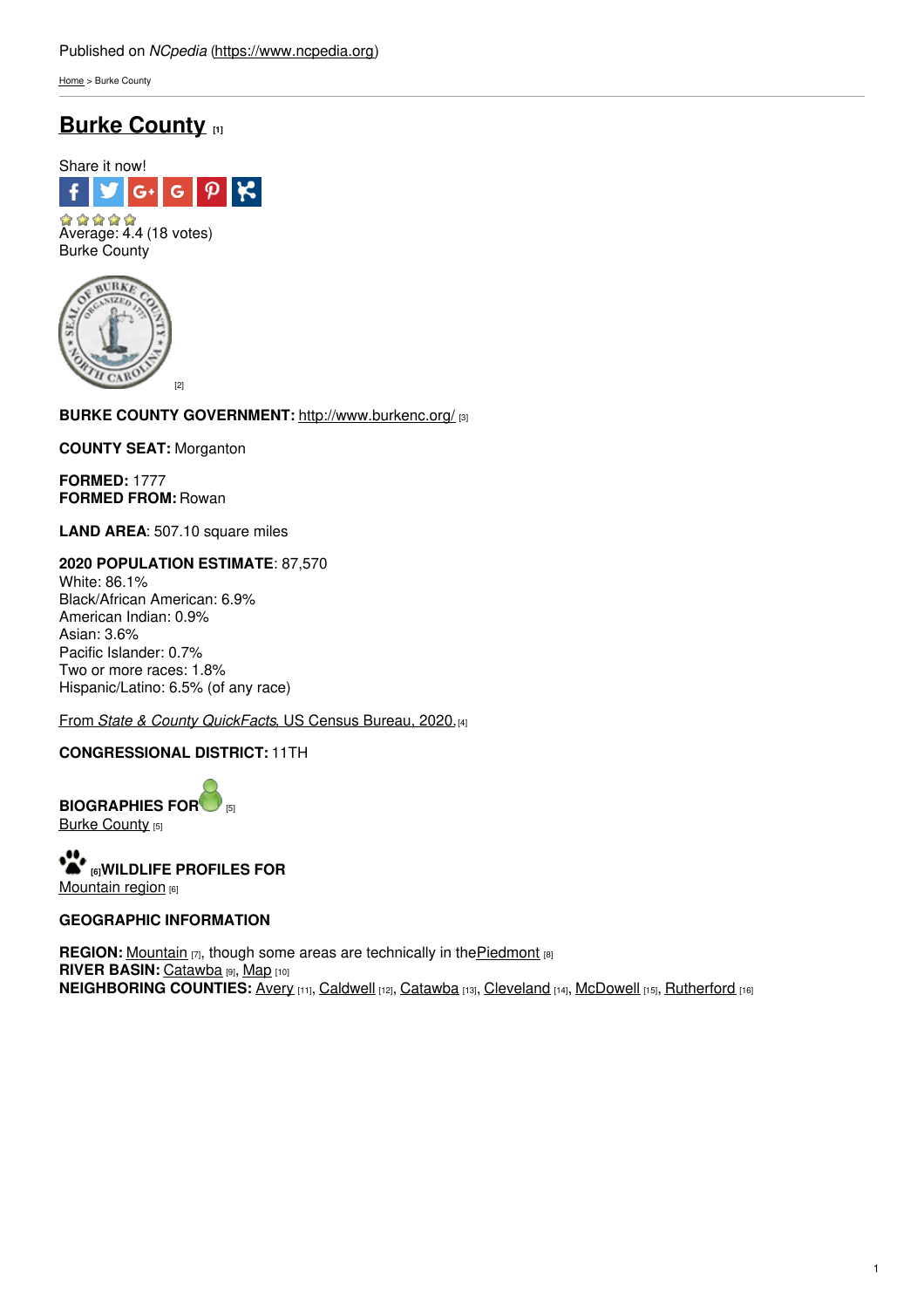[Home](https://www.ncpedia.org/) > Burke County

# **Burke [County](https://www.ncpedia.org/geography/burke) [1]**



Burke County



**BURKE COUNTY GOVERNMENT:** [http://www.burkenc.](http://www.social9.com)[org/](http://www.burkenc.org/) [3]

**COUNTY SEAT:** Morganton

**FORMED:** 1777 **FORMED FROM:** Rowan

**LAND AREA**: 507.10 square miles

**2020 POPULATION ESTIMATE**: 87,570 White: 86.1% Black/African American: 6.9% American Indian: 0.9% Asian: 3.6% Pacific Islander: 0.7% Two or more races: 1.8% Hispanic/Latino: 6.5% (of any race)

From *State & County [QuickFacts](https://www.census.gov/quickfacts/fact/table/burkecountynorthcarolina/POP010220)*, US Census Bureau, 2020.[4]

## **CONGRESSIONAL DISTRICT:** 11TH

**BIOGRAPHIES FO[R](https://www.ncpedia.org/geography/burke-county/biography)** [5] **Burke [County](https://www.ncpedia.org/geography/burke-county/biography) [5]** 

**[6]WILDLIFE PROFILES FOR** [Mountain](https://www.ncpedia.org/wildlife/mountains) region [6]

### **GEOGRAPHIC INFORMATION**

**REGION:** [Mountain](https://www.ncpedia.org/our-state-geography-snap-mountain) [7], though some areas are technically in the **[Piedmont](https://www.ncpedia.org/geography/region/piedmont)** [8] **RIVER BASIN: [Catawba](https://files.nc.gov/deqee/documents/files/catawba-river-basin.pdf) [9], [Map](https://ncdenr.maps.arcgis.com/apps/PublicInformation/index.html?appid=f82f583438e74bf29adcc76247381eee) [10] NEIGHBORING COUNTIES:** [Avery](https://www.ncpedia.org/geography/avery) [11], [Caldwell](https://www.ncpedia.org/geography/caldwell) [12], [Catawba](https://www.ncpedia.org/geography/catawba) [13], [Cleveland](https://www.ncpedia.org/geography/cleveland) [14], [McDowell](https://www.ncpedia.org/geography/mcdowell) [15], [Rutherford](https://www.ncpedia.org/geography/rutherford) [16]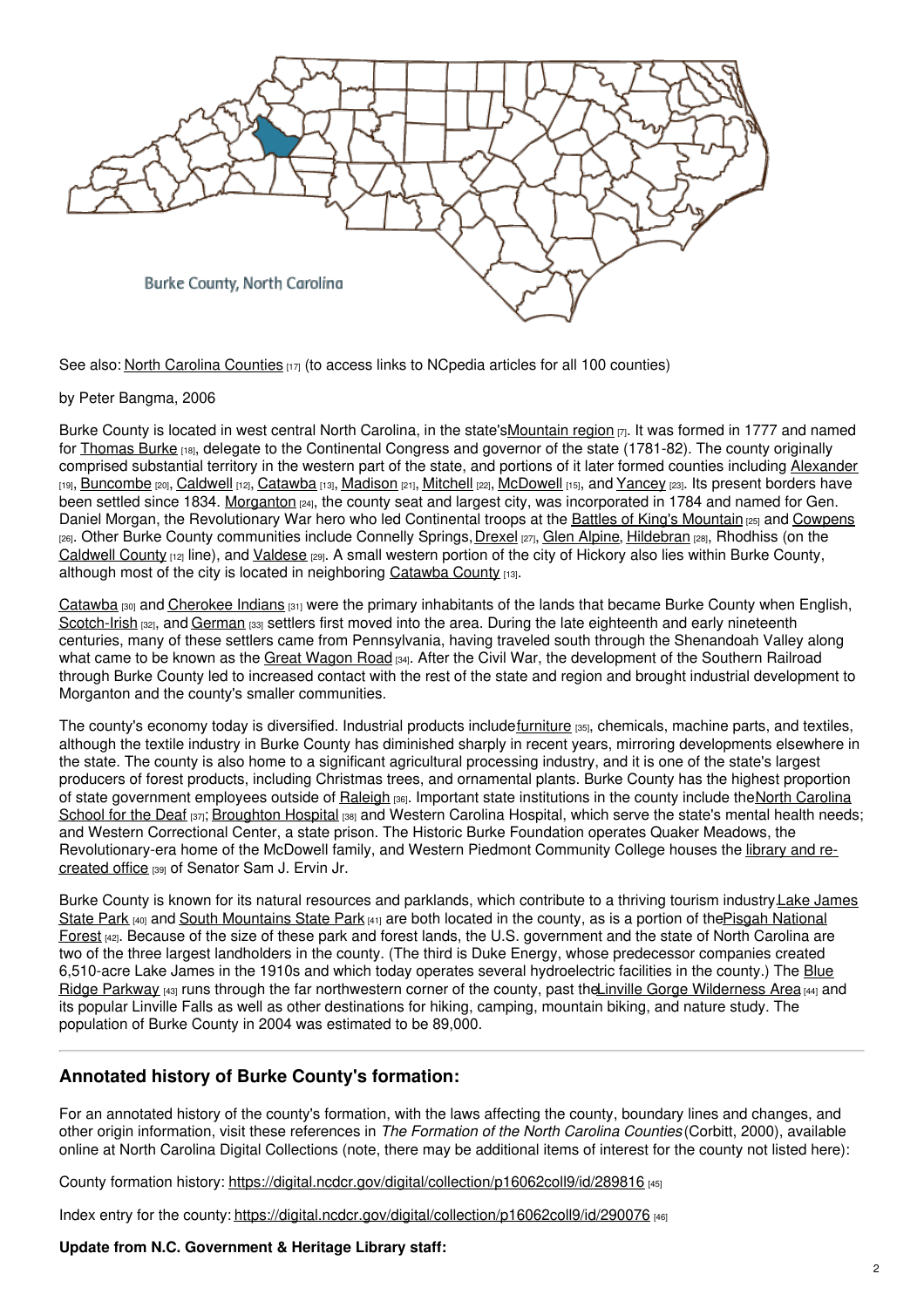

See also: North Carolina [Counties](https://www.ncpedia.org/node/156/)  $_{17}$  (to access links to NCpedia articles for all 100 counties)

by Peter Bangma, 2006

Burke County is located in west central North Carolina, in the state'[sMountain](https://www.ncpedia.org/our-state-geography-snap-mountain) region  $[7]$ . It was formed in 1777 and named for [Thomas](https://www.ncpedia.org/burke-thomas-research-branch-nc-oah) Burke [18], delegate to the Continental Congress and governor of the state (1781-82). The county originally comprised substantial territory in the western part of the state, and portions of it later formed counties including [Alexander](https://www.ncpedia.org/geography/alexander) [19], [Buncombe](https://www.ncpedia.org/geography/buncombe) [20], [Caldwell](https://www.ncpedia.org/geography/caldwell) [12], [Catawba](https://www.ncpedia.org/geography/catawba) [13], [Madison](https://www.ncpedia.org/geography/madison) [21], [Mitchell](https://www.ncpedia.org/geography/mitchell) [22], [McDowell](https://www.ncpedia.org/geography/mcdowell) [15], and [Yancey](https://www.ncpedia.org/geography/yancey) [23]. Its present borders have been settled since 1834. [Morganton](http://www.ci.morganton.nc.us/) [24], the county seat and largest city, was incorporated in 1784 and named for Gen. Daniel Morgan, the Revolutionary War hero who led Continental troops at the Battles of King's [Mountain](https://www.ncpedia.org/kings-mountain-battle) [25] and [Cowpens](https://www.ncpedia.org/cowpens-battle) [26]. Other Burke County communities include Connelly Springs, [Drexel](http://www.ci.drexel.nc.us/) [27], Glen [Alpine](https://www.ncpedia.org/geography/burke#), [Hildebran](https://www.hildebrannc.com/) [28], Rhodhiss (on the [Caldwell](https://www.ncpedia.org/geography/caldwell) County [12] line), and [Valdese](https://www.townofvaldese.com/) [29]. A small western portion of the city of Hickory also lies within Burke County, although most of the city is located in neighboring [Catawba](https://www.ncpedia.org/geography/catawba) County [13].

[Catawba](https://www.ncpedia.org/catawba-indians) (30) and [Cherokee](https://www.ncpedia.org/cherokee/overview) Indians (31) were the primary inhabitants of the lands that became Burke County when English, [Scotch-Irish](https://www.ncpedia.org/scottish-settlers) [32], and [German](https://www.ncpedia.org/german-settlers) [33] settlers first moved into the area. During the late eighteenth and early nineteenth centuries, many of these settlers came from Pennsylvania, having traveled south through the Shenandoah Valley along what came to be known as the Great [Wagon](https://www.ncpedia.org/great-wagon-road) Road [34]. After the Civil War, the development of the Southern Railroad through Burke County led to increased contact with the rest of the state and region and brought industrial development to Morganton and the county's smaller communities.

The county's economy today is diversified. Industrial products includ[efurniture](https://www.ncpedia.org/furniture/overview) [35], chemicals, machine parts, and textiles, although the textile industry in Burke County has diminished sharply in recent years, mirroring developments elsewhere in the state. The county is also home to a significant agricultural processing industry, and it is one of the state's largest producers of forest products, including Christmas trees, and ornamental plants. Burke County has the highest proportion of state [government](https://www.ncsd.net/) employees outside of [Raleigh](https://www.ncpedia.org/geography/raleigh) [36]. Important state institutions in the county include theNorth Carolina School for the Deaf [37]; [Broughton](https://www.ncdhhs.gov/divisions/state-operated-healthcare-facilities/facilities/broughton-hospital) Hospital [38] and Western Carolina Hospital, which serve the state's mental health needs; and Western Correctional Center, a state prison. The Historic Burke Foundation operates Quaker Meadows, the [Revolutionary-era](https://samervin.wpcc.edu/the-library/) home of the McDowell family, and Western Piedmont Community College houses the library and recreated office [39] of Senator Sam J. Ervin Jr.

Burke County is known for its natural resources and parklands, which contribute to a thriving tourism [industry.Lake](https://www.ncparks.gov/lake-james-state-park/home) James State Park  $[40]$  and South [Mountains](https://www.ncparks.gov/south-mountains-state-park/home) State Park  $[41]$  are both located in the county, as is a portion of the Pisgah National Forest [42]. Because of the size of these park and forest lands, the U.S. [government](https://www.fs.usda.gov/recarea/nfsnc/recarea/?recid=48114) and the state of North Carolina are two of the three largest landholders in the county. (The third is Duke Energy, whose predecessor companies created 6,510-acre Lake James in the 1910s and which today operates several [hydroelectric](https://www.ncpedia.org/blue-ridge-parkway) facilities in the county.) The Blue Ridge Parkway [43] runs through the far northwestern corner of the county, past the *inville Gorge [Wilderness](https://www.fs.usda.gov/recarea/nfsnc/recreation/camping-cabins/recarea/?recid=48974&actid=34) Area* [44] and its popular Linville Falls as well as other destinations for hiking, camping, mountain biking, and nature study. The population of Burke County in 2004 was estimated to be 89,000.

## **Annotated history of Burke County's formation:**

For an annotated history of the county's formation, with the laws affecting the county, boundary lines and changes, and other origin information, visit these references in *The Formation of the North Carolina Counties* (Corbitt, 2000), available online at North Carolina Digital Collections (note, there may be additional items of interest for the county not listed here):

County formation history: <https://digital.ncdcr.gov/digital/collection/p16062coll9/id/289816> [45]

Index entry for the county: <https://digital.ncdcr.gov/digital/collection/p16062coll9/id/290076> [46]

#### **Update from N.C. Government & Heritage Library staff:**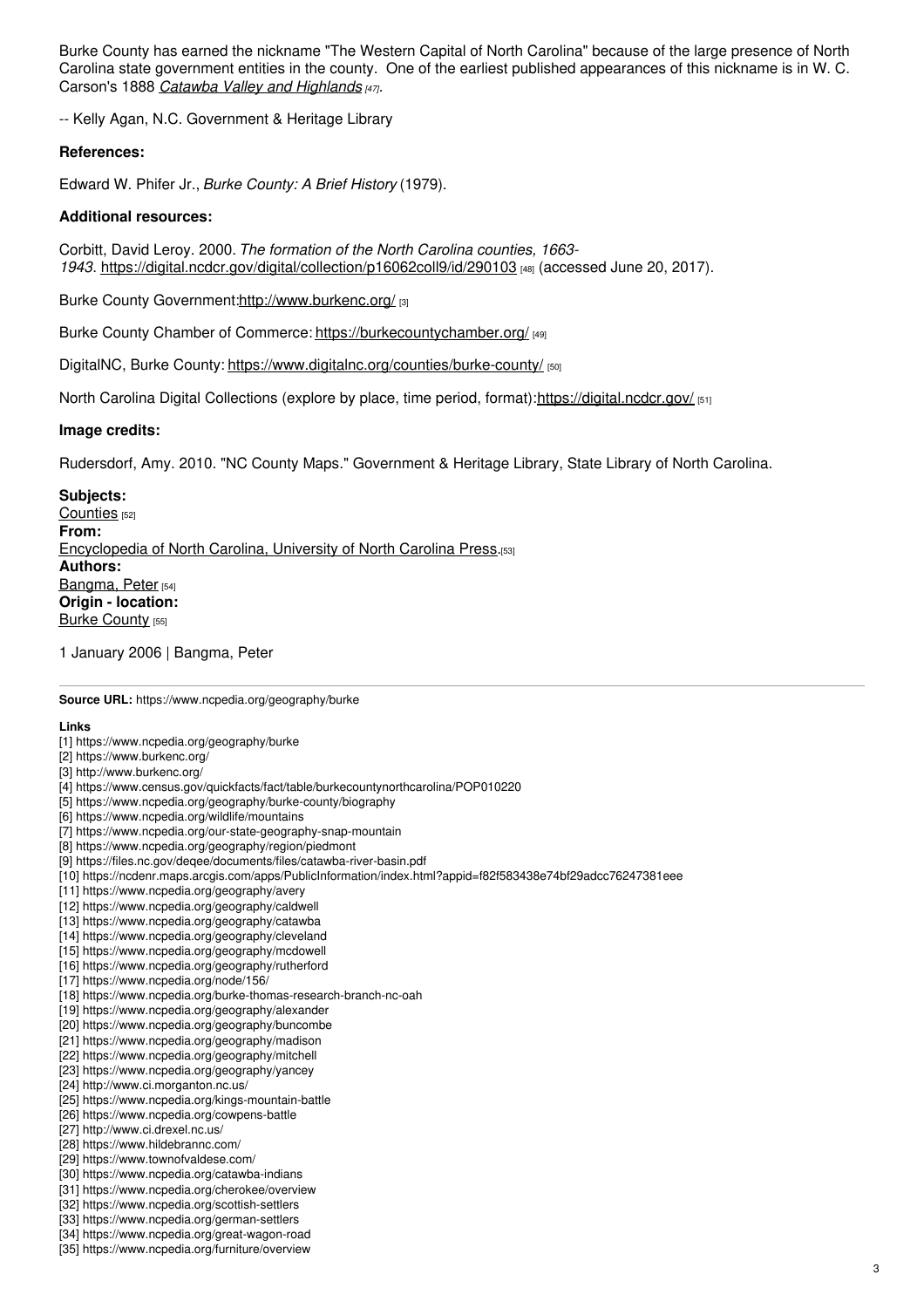Burke County has earned the nickname "The Western Capital of North Carolina" because of the large presence of North Carolina state government entities in the county. One of the earliest published appearances of this nickname is in W. C. Carson's 1888 *Catawba Valley and [Highlands](https://archive.org/details/catawbavalleyhig00ervi/page/12/mode/2up?view=theater) [47].*

-- Kelly Agan, N.C. Government & Heritage Library

#### **References:**

Edward W. Phifer Jr., *Burke County: A Brief History* (1979).

#### **Additional resources:**

Corbitt, David Leroy. 2000. *The formation of the North Carolina counties, 1663- 1943*. <https://digital.ncdcr.gov/digital/collection/p16062coll9/id/290103> [48] (accessed June 20, 2017).

Burke County Government[:http://www.burkenc.org/](http://www.burkenc.org/) [3]

Burke County Chamber of Commerce: <https://burkecountychamber.org/> [49]

DigitalNC, Burke County: <https://www.digitalnc.org/counties/burke-county/> [50]

North Carolina Digital Collections (explore by place, time period, format):<https://digital.ncdcr.gov/> [51]

#### **Image credits:**

Rudersdorf, Amy. 2010. "NC County Maps." Government & Heritage Library, State Library of North Carolina.

**Subjects:** [Counties](https://www.ncpedia.org/category/subjects/counties) [52] **From:** [Encyclopedia](https://www.ncpedia.org/category/entry-source/encyclopedia-) of North Carolina, University of North Carolina Press.[53] **Authors:** [Bangma,](https://www.ncpedia.org/category/authors/bangma-peter) Peter [54] **Origin - location: Burke [County](https://www.ncpedia.org/category/origin-location/mountai-17) [55]** 

1 January 2006 | Bangma, Peter

**Source URL:** https://www.ncpedia.org/geography/burke

#### **Links**

- [1] https://www.ncpedia.org/geography/burke
- [2] https://www.burkenc.org/
- [3] http://www.burkenc.org/
- [4] https://www.census.gov/quickfacts/fact/table/burkecountynorthcarolina/POP010220
- [5] https://www.ncpedia.org/geography/burke-county/biography
- [6] https://www.ncpedia.org/wildlife/mountains
- [7] https://www.ncpedia.org/our-state-geography-snap-mountain
- [8] https://www.ncpedia.org/geography/region/piedmont
- [9] https://files.nc.gov/deqee/documents/files/catawba-river-basin.pdf
- [10] https://ncdenr.maps.arcgis.com/apps/PublicInformation/index.html?appid=f82f583438e74bf29adcc76247381eee
- [11] https://www.ncpedia.org/geography/avery
- [12] https://www.ncpedia.org/geography/caldwell
- [13] https://www.ncpedia.org/geography/catawba
- [14] https://www.ncpedia.org/geography/cleveland
- [15] https://www.ncpedia.org/geography/mcdowell
- [16] https://www.ncpedia.org/geography/rutherford
- [17] https://www.ncpedia.org/node/156/
- [18] https://www.ncpedia.org/burke-thomas-research-branch-nc-oah
- [19] https://www.ncpedia.org/geography/alexander
- [20] https://www.ncpedia.org/geography/buncombe
- [21] https://www.ncpedia.org/geography/madison
- [22] https://www.ncpedia.org/geography/mitchell
- [23] https://www.ncpedia.org/geography/yancey
- [24] http://www.ci.morganton.nc.us/
- [25] https://www.ncpedia.org/kings-mountain-battle
- [26] https://www.ncpedia.org/cowpens-battle
- [27] http://www.ci.drexel.nc.us/
- [28] https://www.hildebrannc.com/
- [29] https://www.townofvaldese.com/
- [30] https://www.ncpedia.org/catawba-indians
- [31] https://www.ncpedia.org/cherokee/overview
- [32] https://www.ncpedia.org/scottish-settlers
- [33] https://www.ncpedia.org/german-settlers
- [34] https://www.ncpedia.org/great-wagon-road
- [35] https://www.ncpedia.org/furniture/overview